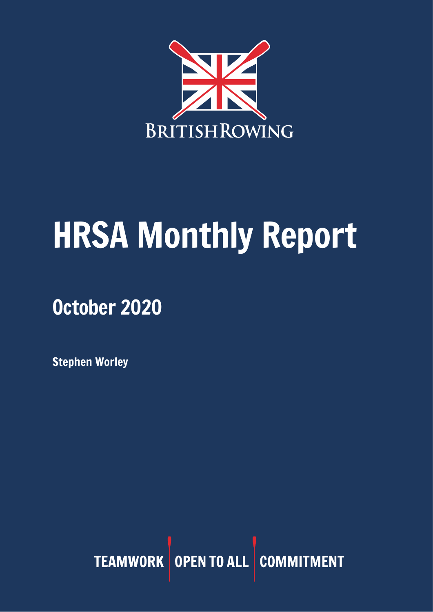

# HRSA Monthly Report

# October 2020

Stephen Worley

TEAMWORK OPEN TO ALL COMMITMENT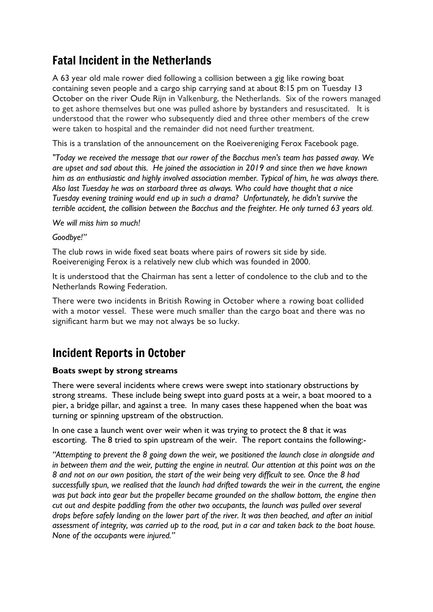# Fatal Incident in the Netherlands

A 63 year old male rower died following a collision between a gig like rowing boat containing seven people and a cargo ship carrying sand at about 8:15 pm on Tuesday 13 October on the river Oude Rijn in Valkenburg, the Netherlands. Six of the rowers managed to get ashore themselves but one was pulled ashore by bystanders and resuscitated. It is understood that the rower who subsequently died and three other members of the crew were taken to hospital and the remainder did not need further treatment.

This is a translation of the announcement on the Roeivereniging Ferox Facebook page.

*"Today we received the message that our rower of the Bacchus men's team has passed away. We are upset and sad about this. He joined the association in 2019 and since then we have known him as an enthusiastic and highly involved association member. Typical of him, he was always there. Also last Tuesday he was on starboard three as always. Who could have thought that a nice Tuesday evening training would end up in such a drama? Unfortunately, he didn't survive the terrible accident, the collision between the Bacchus and the freighter. He only turned 63 years old.*

*We will miss him so much!*

*Goodbye!"*

The club rows in wide fixed seat boats where pairs of rowers sit side by side. Roeivereniging Ferox is a relatively new club which was founded in 2000.

It is understood that the Chairman has sent a letter of condolence to the club and to the Netherlands Rowing Federation.

There were two incidents in British Rowing in October where a rowing boat collided with a motor vessel. These were much smaller than the cargo boat and there was no significant harm but we may not always be so lucky.

# Incident Reports in October

#### **Boats swept by strong streams**

There were several incidents where crews were swept into stationary obstructions by strong streams. These include being swept into guard posts at a weir, a boat moored to a pier, a bridge pillar, and against a tree. In many cases these happened when the boat was turning or spinning upstream of the obstruction.

In one case a launch went over weir when it was trying to protect the 8 that it was escorting. The 8 tried to spin upstream of the weir. The report contains the following:-

*"Attempting to prevent the 8 going down the weir, we positioned the launch close in alongside and in between them and the weir, putting the engine in neutral. Our attention at this point was on the 8 and not on our own position, the start of the weir being very difficult to see. Once the 8 had successfully spun, we realised that the launch had drifted towards the weir in the current, the engine was put back into gear but the propeller became grounded on the shallow bottom, the engine then cut out and despite paddling from the other two occupants, the launch was pulled over several drops before safely landing on the lower part of the river. It was then beached, and after an initial assessment of integrity, was carried up to the road, put in a car and taken back to the boat house. None of the occupants were injured."*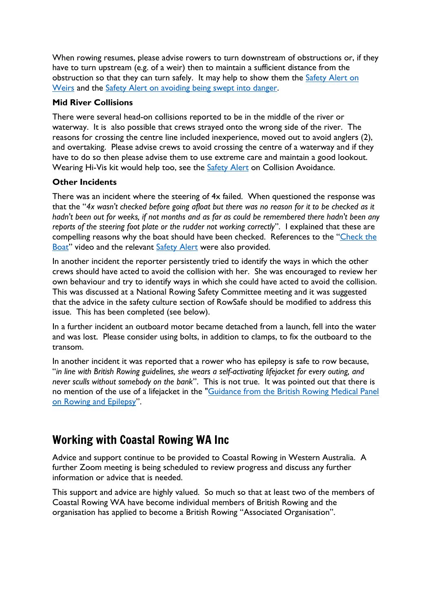When rowing resumes, please advise rowers to turn downstream of obstructions or, if they have to turn upstream (e.g. of a weir) then to maintain a sufficient distance from the obstruction so that they can turn safely. It may help to show them the [Safety Alert on](https://www.britishrowing.org/wp-content/uploads/2019/12/Safety-Alert-Keep-clear-of-Weirs-Dec-2019.pdf)  [Weirs](https://www.britishrowing.org/wp-content/uploads/2019/12/Safety-Alert-Keep-clear-of-Weirs-Dec-2019.pdf) and the [Safety Alert on avoiding being swept into danger.](https://www.britishrowing.org/wp-content/uploads/2018/04/Safety-Alert-dont-be-swept-into-danger.pdf)

#### **Mid River Collisions**

There were several head-on collisions reported to be in the middle of the river or waterway. It is also possible that crews strayed onto the wrong side of the river. The reasons for crossing the centre line included inexperience, moved out to avoid anglers (2), and overtaking. Please advise crews to avoid crossing the centre of a waterway and if they have to do so then please advise them to use extreme care and maintain a good lookout. Wearing Hi-Vis kit would help too, see the **Safety Alert** on Collision Avoidance.

#### **Other Incidents**

There was an incident where the steering of 4x failed. When questioned the response was that the "*4x wasn't checked before going afloat but there was no reason for it to be checked as it hadn't been out for weeks, if not months and as far as could be remembered there hadn't been any reports of the steering foot plate or the rudder not working correctly*". I explained that these are compelling reasons why the boat should have been checked. References to the "[Check the](https://www.youtube.com/watch?v=Jv294UHbj0s)  [Boat](https://www.youtube.com/watch?v=Jv294UHbj0s)" video and the relevant [Safety Alert](https://www.britishrowing.org/wp-content/uploads/2015/09/Safety-Alert-Check-Your-Boat-Before-You-Go-Afloat.pdf) were also provided.

In another incident the reporter persistently tried to identify the ways in which the other crews should have acted to avoid the collision with her. She was encouraged to review her own behaviour and try to identify ways in which she could have acted to avoid the collision. This was discussed at a National Rowing Safety Committee meeting and it was suggested that the advice in the safety culture section of RowSafe should be modified to address this issue. This has been completed (see below).

In a further incident an outboard motor became detached from a launch, fell into the water and was lost. Please consider using bolts, in addition to clamps, to fix the outboard to the transom.

In another incident it was reported that a rower who has epilepsy is safe to row because, "*in line with British Rowing guidelines, she wears a self-activating lifejacket for every outing, and never sculls without somebody on the bank*". This is not true. It was pointed out that there is no mention of the use of a lifejacket in the ["Guidance from the British Rowing Medical Panel](https://www.britishrowing.org/knowledge/safety/health-and-fitness/rowing-and-epilepsy/)  [on Rowing and Epilepsy](https://www.britishrowing.org/knowledge/safety/health-and-fitness/rowing-and-epilepsy/)".

#### Working with Coastal Rowing WA Inc

Advice and support continue to be provided to Coastal Rowing in Western Australia. A further Zoom meeting is being scheduled to review progress and discuss any further information or advice that is needed.

This support and advice are highly valued. So much so that at least two of the members of Coastal Rowing WA have become individual members of British Rowing and the organisation has applied to become a British Rowing "Associated Organisation".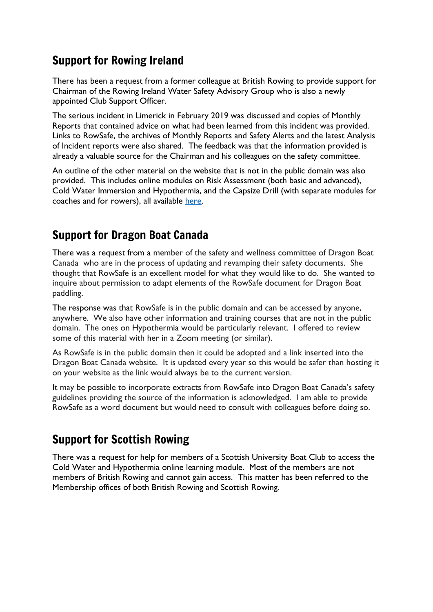#### Support for Rowing Ireland

There has been a request from a former colleague at British Rowing to provide support for Chairman of the Rowing Ireland Water Safety Advisory Group who is also a newly appointed Club Support Officer.

The serious incident in Limerick in February 2019 was discussed and copies of Monthly Reports that contained advice on what had been learned from this incident was provided. Links to RowSafe, the archives of Monthly Reports and Safety Alerts and the latest Analysis of Incident reports were also shared. The feedback was that the information provided is already a valuable source for the Chairman and his colleagues on the safety committee.

An outline of the other material on the website that is not in the public domain was also provided. This includes online modules on Risk Assessment (both basic and advanced), Cold Water Immersion and Hypothermia, and the Capsize Drill (with separate modules for coaches and for rowers), all available [here.](https://www.rowhow.org/mod/page/view.php?id=6650)

#### Support for Dragon Boat Canada

There was a request from a member of the safety and wellness committee of Dragon Boat Canada who are in the process of updating and revamping their safety documents. She thought that RowSafe is an excellent model for what they would like to do. She wanted to inquire about permission to adapt elements of the RowSafe document for Dragon Boat paddling.

The response was that RowSafe is in the public domain and can be accessed by anyone, anywhere. We also have other information and training courses that are not in the public domain. The ones on Hypothermia would be particularly relevant. I offered to review some of this material with her in a Zoom meeting (or similar).

As RowSafe is in the public domain then it could be adopted and a link inserted into the Dragon Boat Canada website. It is updated every year so this would be safer than hosting it on your website as the link would always be to the current version.

It may be possible to incorporate extracts from RowSafe into Dragon Boat Canada's safety guidelines providing the source of the information is acknowledged. I am able to provide RowSafe as a word document but would need to consult with colleagues before doing so.

# Support for Scottish Rowing

There was a request for help for members of a Scottish University Boat Club to access the Cold Water and Hypothermia online learning module. Most of the members are not members of British Rowing and cannot gain access. This matter has been referred to the Membership offices of both British Rowing and Scottish Rowing.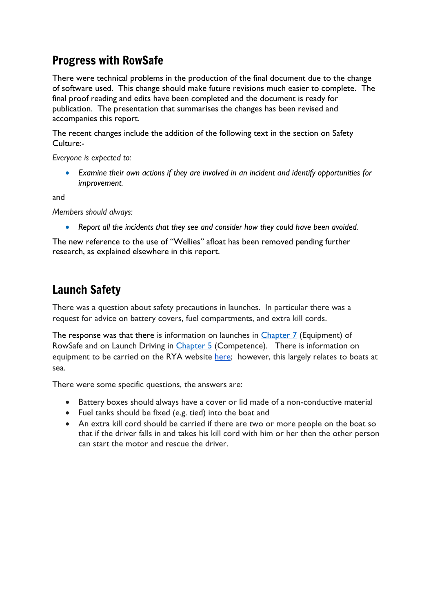## Progress with RowSafe

There were technical problems in the production of the final document due to the change of software used. This change should make future revisions much easier to complete. The final proof reading and edits have been completed and the document is ready for publication. The presentation that summarises the changes has been revised and accompanies this report.

The recent changes include the addition of the following text in the section on Safety Culture:-

*Everyone is expected to:*

• *Examine their own actions if they are involved in an incident and identify opportunities for improvement.*

and

*Members should always:*

• *Report all the incidents that they see and consider how they could have been avoided.*

The new reference to the use of "Wellies" afloat has been removed pending further research, as explained elsewhere in this report.

#### Launch Safety

There was a question about safety precautions in launches. In particular there was a request for advice on battery covers, fuel compartments, and extra kill cords.

The response was that there is information on launches in [Chapter 7](https://www.britishrowing.org/wp-content/uploads/2019/04/Row-Safe-April-2019-Chp-7.pdf) (Equipment) of RowSafe and on Launch Driving in [Chapter 5](https://www.britishrowing.org/wp-content/uploads/2019/04/Row-Safe-April-2019-Chp-5.pdf) (Competence). There is information on equipment to be carried on the RYA website [here;](https://www.rya.org.uk/knowledge-advice/safe-boating/look-after-yourself/equipment-for-uk-pleasure-vessels/Pages/hub.aspx) however, this largely relates to boats at sea.

There were some specific questions, the answers are:

- Battery boxes should always have a cover or lid made of a non-conductive material
- Fuel tanks should be fixed (e.g. tied) into the boat and
- An extra kill cord should be carried if there are two or more people on the boat so that if the driver falls in and takes his kill cord with him or her then the other person can start the motor and rescue the driver.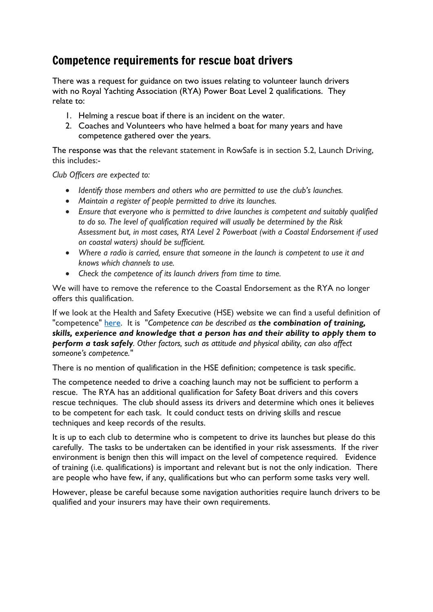#### Competence requirements for rescue boat drivers

There was a request for guidance on two issues relating to volunteer launch drivers with no Royal Yachting Association (RYA) Power Boat Level 2 qualifications. They relate to:

- 1. Helming a rescue boat if there is an incident on the water.
- 2. Coaches and Volunteers who have helmed a boat for many years and have competence gathered over the years.

The response was that the relevant statement in RowSafe is in section 5.2, Launch Driving, this includes:-

*Club Officers are expected to:*

- *Identify those members and others who are permitted to use the club's launches.*
- *Maintain a register of people permitted to drive its launches.*
- *Ensure that everyone who is permitted to drive launches is competent and suitably qualified to do so. The level of qualification required will usually be determined by the Risk Assessment but, in most cases, RYA Level 2 Powerboat (with a Coastal Endorsement if used on coastal waters) should be sufficient.*
- *Where a radio is carried, ensure that someone in the launch is competent to use it and knows which channels to use.*
- *Check the competence of its launch drivers from time to time.*

We will have to remove the reference to the Coastal Endorsement as the RYA no longer offers this qualification.

If we look at the Health and Safety Executive (HSE) website we can find a useful definition of "competence" [here.](https://www.hse.gov.uk/competence/what-is-competence.htm) It is "*Competence can be described as the combination of training, skills, experience and knowledge that a person has and their ability to apply them to perform a task safely. Other factors, such as attitude and physical ability, can also affect someone's competence."*

There is no mention of qualification in the HSE definition; competence is task specific.

The competence needed to drive a coaching launch may not be sufficient to perform a rescue. The RYA has an additional qualification for Safety Boat drivers and this covers rescue techniques. The club should assess its drivers and determine which ones it believes to be competent for each task. It could conduct tests on driving skills and rescue techniques and keep records of the results.

It is up to each club to determine who is competent to drive its launches but please do this carefully. The tasks to be undertaken can be identified in your risk assessments. If the river environment is benign then this will impact on the level of competence required. Evidence of training (i.e. qualifications) is important and relevant but is not the only indication. There are people who have few, if any, qualifications but who can perform some tasks very well.

However, please be careful because some navigation authorities require launch drivers to be qualified and your insurers may have their own requirements.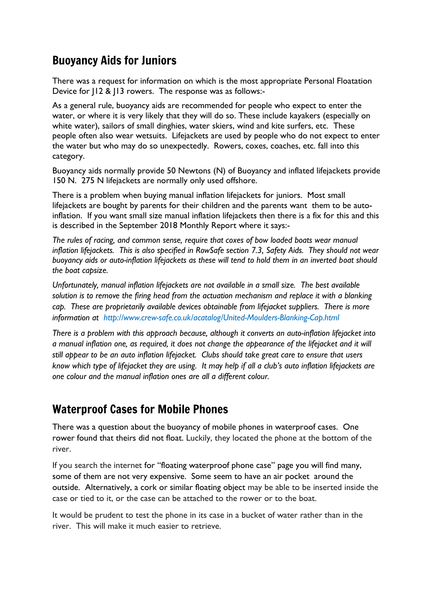#### Buoyancy Aids for Juniors

There was a request for information on which is the most appropriate Personal Floatation Device for J12 & J13 rowers. The response was as follows:-

As a general rule, buoyancy aids are recommended for people who expect to enter the water, or where it is very likely that they will do so. These include kayakers (especially on white water), sailors of small dinghies, water skiers, wind and kite surfers, etc. These people often also wear wetsuits. Lifejackets are used by people who do not expect to enter the water but who may do so unexpectedly. Rowers, coxes, coaches, etc. fall into this category.

Buoyancy aids normally provide 50 Newtons (N) of Buoyancy and inflated lifejackets provide 150 N. 275 N lifejackets are normally only used offshore.

There is a problem when buying manual inflation lifejackets for juniors. Most small lifejackets are bought by parents for their children and the parents want them to be autoinflation. If you want small size manual inflation lifejackets then there is a fix for this and this is described in the September 2018 Monthly Report where it says:-

*The rules of racing, and common sense, require that coxes of bow loaded boats wear manual inflation lifejackets. This is also specified in RowSafe section 7.3, Safety Aids. They should not wear buoyancy aids or auto-inflation lifejackets as these will tend to hold them in an inverted boat should the boat capsize.*

*Unfortunately, manual inflation lifejackets are not available in a small size. The best available solution is to remove the firing head from the actuation mechanism and replace it with a blanking cap. These are proprietarily available devices obtainable from lifejacket suppliers. There is more information at <http://www.crew-safe.co.uk/acatalog/United-Moulders-Blanking-Cap.html>*

*There is a problem with this approach because, although it converts an auto-inflation lifejacket into a manual inflation one, as required, it does not change the appearance of the lifejacket and it will still appear to be an auto inflation lifejacket. Clubs should take great care to ensure that users know which type of lifejacket they are using. It may help if all a club's auto inflation lifejackets are one colour and the manual inflation ones are all a different colour.* 

#### Waterproof Cases for Mobile Phones

There was a question about the buoyancy of mobile phones in waterproof cases. One rower found that theirs did not float. Luckily, they located the phone at the bottom of the river.

If you search the internet for "floating waterproof phone case" page you will find many, some of them are not very expensive. Some seem to have an air pocket around the outside. Alternatively, a cork or similar floating object may be able to be inserted inside the case or tied to it, or the case can be attached to the rower or to the boat.

It would be prudent to test the phone in its case in a bucket of water rather than in the river. This will make it much easier to retrieve.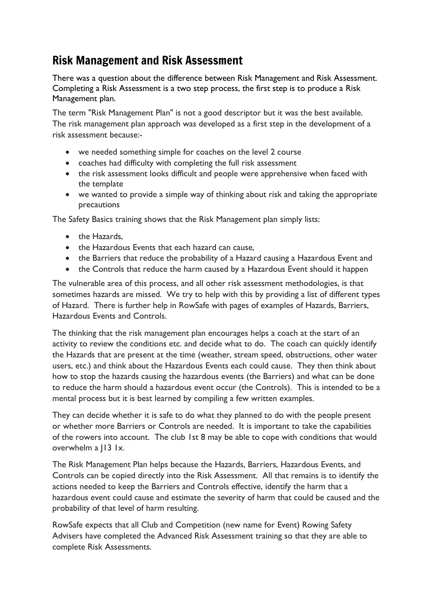#### Risk Management and Risk Assessment

There was a question about the difference between Risk Management and Risk Assessment. Completing a Risk Assessment is a two step process, the first step is to produce a Risk Management plan.

The term "Risk Management Plan" is not a good descriptor but it was the best available. The risk management plan approach was developed as a first step in the development of a risk assessment because:-

- we needed something simple for coaches on the level 2 course
- coaches had difficulty with completing the full risk assessment
- the risk assessment looks difficult and people were apprehensive when faced with the template
- we wanted to provide a simple way of thinking about risk and taking the appropriate precautions

The Safety Basics training shows that the Risk Management plan simply lists:

- the Hazards,
- the Hazardous Events that each hazard can cause.
- the Barriers that reduce the probability of a Hazard causing a Hazardous Event and
- the Controls that reduce the harm caused by a Hazardous Event should it happen

The vulnerable area of this process, and all other risk assessment methodologies, is that sometimes hazards are missed. We try to help with this by providing a list of different types of Hazard. There is further help in RowSafe with pages of examples of Hazards, Barriers, Hazardous Events and Controls.

The thinking that the risk management plan encourages helps a coach at the start of an activity to review the conditions etc. and decide what to do. The coach can quickly identify the Hazards that are present at the time (weather, stream speed, obstructions, other water users, etc.) and think about the Hazardous Events each could cause. They then think about how to stop the hazards causing the hazardous events (the Barriers) and what can be done to reduce the harm should a hazardous event occur (the Controls). This is intended to be a mental process but it is best learned by compiling a few written examples.

They can decide whether it is safe to do what they planned to do with the people present or whether more Barriers or Controls are needed. It is important to take the capabilities of the rowers into account. The club 1st 8 may be able to cope with conditions that would overwhelm a J13 1x.

The Risk Management Plan helps because the Hazards, Barriers, Hazardous Events, and Controls can be copied directly into the Risk Assessment. All that remains is to identify the actions needed to keep the Barriers and Controls effective, identify the harm that a hazardous event could cause and estimate the severity of harm that could be caused and the probability of that level of harm resulting.

RowSafe expects that all Club and Competition (new name for Event) Rowing Safety Advisers have completed the Advanced Risk Assessment training so that they are able to complete Risk Assessments.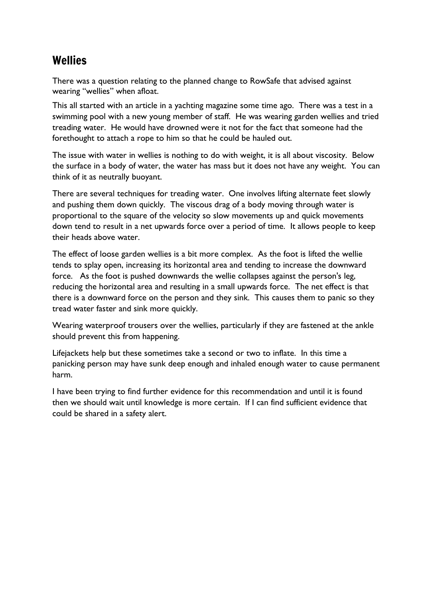#### **Wellies**

There was a question relating to the planned change to RowSafe that advised against wearing "wellies" when afloat.

This all started with an article in a yachting magazine some time ago. There was a test in a swimming pool with a new young member of staff. He was wearing garden wellies and tried treading water. He would have drowned were it not for the fact that someone had the forethought to attach a rope to him so that he could be hauled out.

The issue with water in wellies is nothing to do with weight, it is all about viscosity. Below the surface in a body of water, the water has mass but it does not have any weight. You can think of it as neutrally buoyant.

There are several techniques for treading water. One involves lifting alternate feet slowly and pushing them down quickly. The viscous drag of a body moving through water is proportional to the square of the velocity so slow movements up and quick movements down tend to result in a net upwards force over a period of time. It allows people to keep their heads above water.

The effect of loose garden wellies is a bit more complex. As the foot is lifted the wellie tends to splay open, increasing its horizontal area and tending to increase the downward force. As the foot is pushed downwards the wellie collapses against the person's leg, reducing the horizontal area and resulting in a small upwards force. The net effect is that there is a downward force on the person and they sink. This causes them to panic so they tread water faster and sink more quickly.

Wearing waterproof trousers over the wellies, particularly if they are fastened at the ankle should prevent this from happening.

Lifejackets help but these sometimes take a second or two to inflate. In this time a panicking person may have sunk deep enough and inhaled enough water to cause permanent harm.

I have been trying to find further evidence for this recommendation and until it is found then we should wait until knowledge is more certain. If I can find sufficient evidence that could be shared in a safety alert.